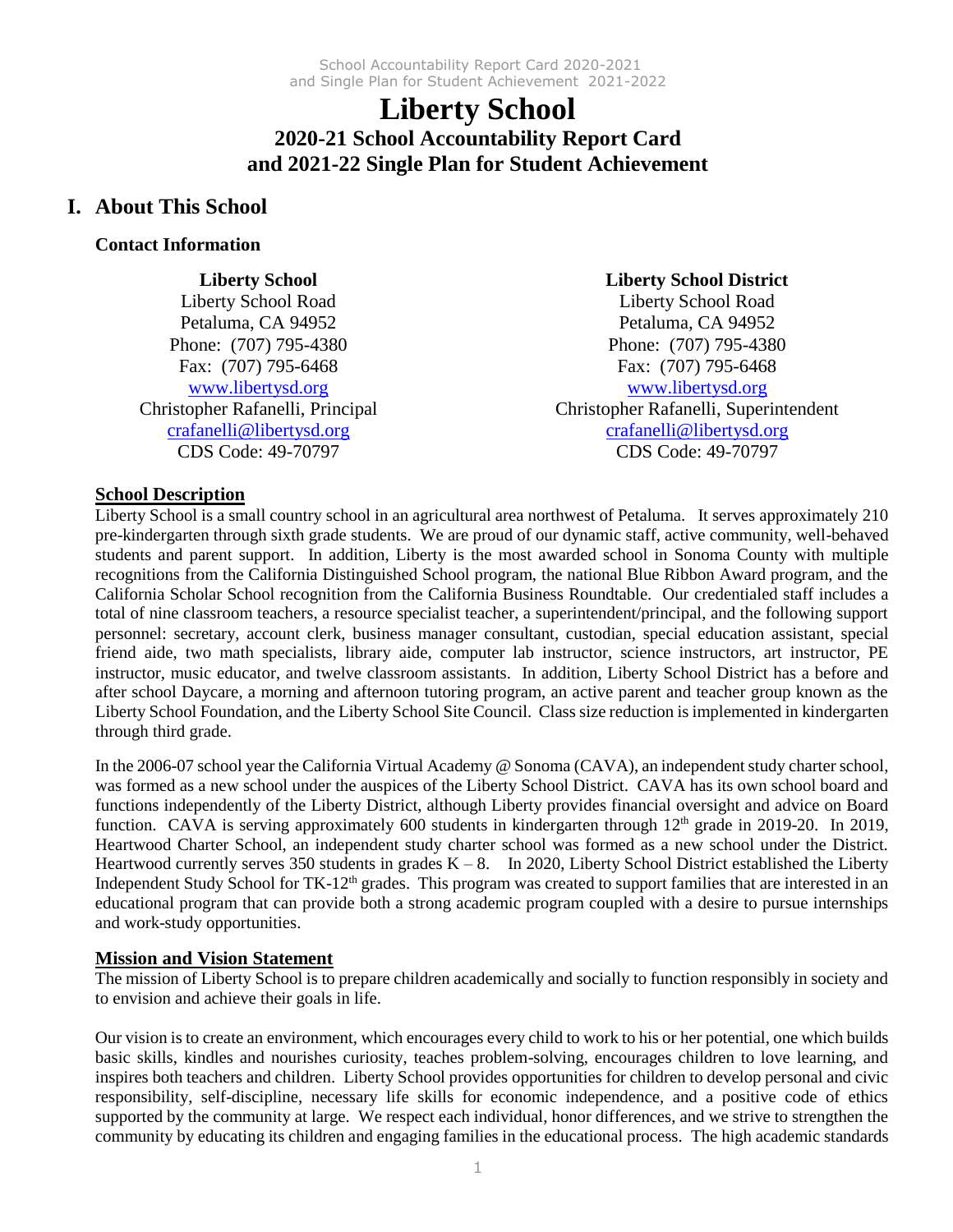# **Liberty School 2020-21 School Accountability Report Card and 2021-22 Single Plan for Student Achievement**

# **I. About This School**

## **Contact Information**

**Liberty School** Liberty School Road Petaluma, CA 94952 Phone: (707) 795-4380 Fax: (707) 795-6468 [www.libertysd.org](http://www.libertysd.org/) Christopher Rafanelli, Principal [crafanelli@libertysd.org](mailto:crafanelli@libertysd.org) CDS Code: 49-70797

# **Liberty School District**

Liberty School Road Petaluma, CA 94952 Phone: (707) 795-4380 Fax: (707) 795-6468 [www.libertysd.org](http://www.libertysd.org/) Christopher Rafanelli, Superintendent [crafanelli@libertysd.org](mailto:crafanelli@libertysd.org) CDS Code: 49-70797

# **School Description**

Liberty School is a small country school in an agricultural area northwest of Petaluma. It serves approximately 210 pre-kindergarten through sixth grade students. We are proud of our dynamic staff, active community, well-behaved students and parent support. In addition, Liberty is the most awarded school in Sonoma County with multiple recognitions from the California Distinguished School program, the national Blue Ribbon Award program, and the California Scholar School recognition from the California Business Roundtable. Our credentialed staff includes a total of nine classroom teachers, a resource specialist teacher, a superintendent/principal, and the following support personnel: secretary, account clerk, business manager consultant, custodian, special education assistant, special friend aide, two math specialists, library aide, computer lab instructor, science instructors, art instructor, PE instructor, music educator, and twelve classroom assistants. In addition, Liberty School District has a before and after school Daycare, a morning and afternoon tutoring program, an active parent and teacher group known as the Liberty School Foundation, and the Liberty School Site Council. Class size reduction is implemented in kindergarten through third grade.

In the 2006-07 school year the California Virtual Academy @ Sonoma (CAVA), an independent study charter school, was formed as a new school under the auspices of the Liberty School District. CAVA has its own school board and functions independently of the Liberty District, although Liberty provides financial oversight and advice on Board function. CAVA is serving approximately 600 students in kindergarten through 12<sup>th</sup> grade in 2019-20. In 2019, Heartwood Charter School, an independent study charter school was formed as a new school under the District. Heartwood currently serves 350 students in grades  $K - 8$ . In 2020, Liberty School District established the Liberty Independent Study School for TK-12<sup>th</sup> grades. This program was created to support families that are interested in an educational program that can provide both a strong academic program coupled with a desire to pursue internships and work-study opportunities.

# **Mission and Vision Statement**

The mission of Liberty School is to prepare children academically and socially to function responsibly in society and to envision and achieve their goals in life.

Our vision is to create an environment, which encourages every child to work to his or her potential, one which builds basic skills, kindles and nourishes curiosity, teaches problem-solving, encourages children to love learning, and inspires both teachers and children. Liberty School provides opportunities for children to develop personal and civic responsibility, self-discipline, necessary life skills for economic independence, and a positive code of ethics supported by the community at large. We respect each individual, honor differences, and we strive to strengthen the community by educating its children and engaging families in the educational process. The high academic standards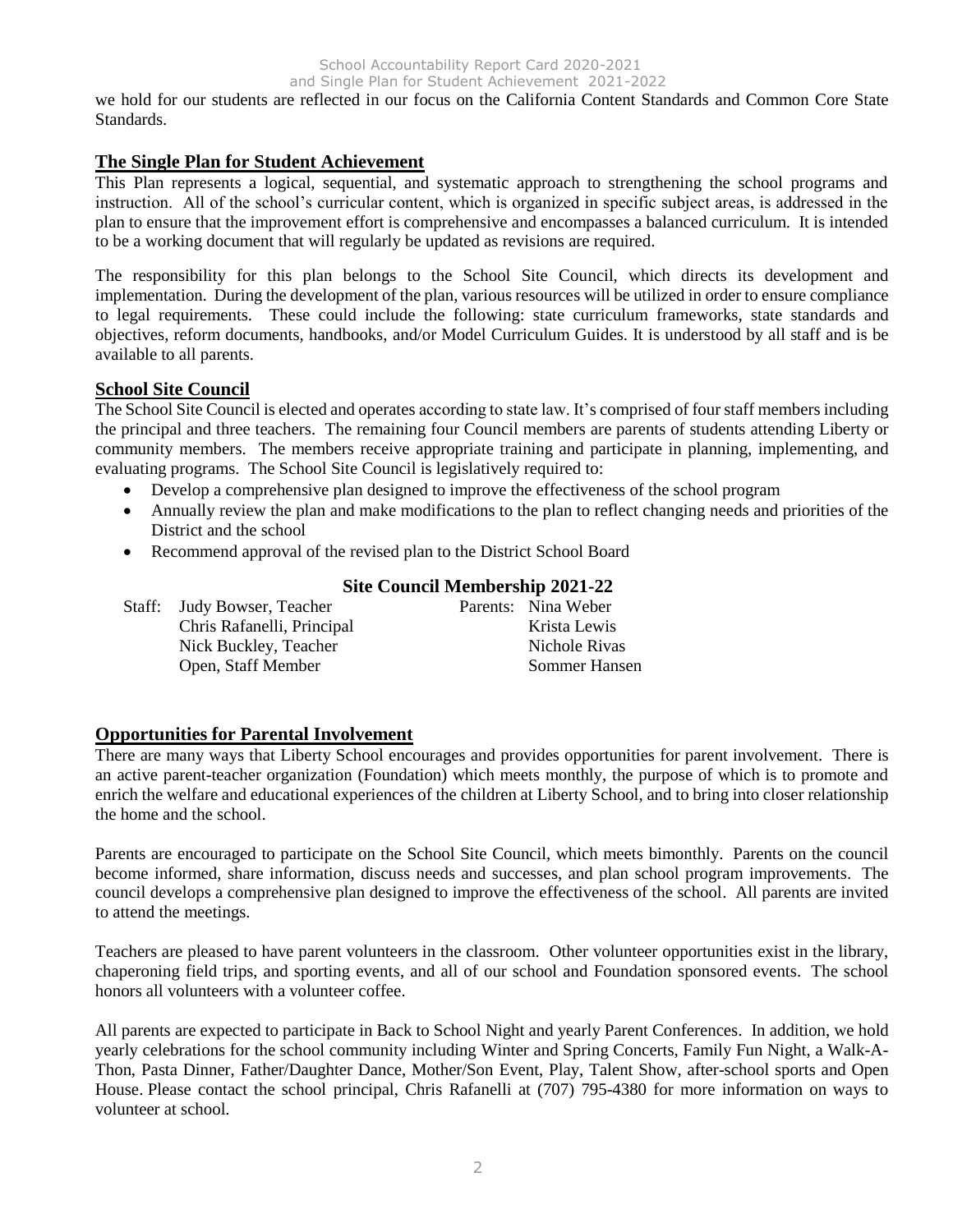we hold for our students are reflected in our focus on the California Content Standards and Common Core State Standards.

### **The Single Plan for Student Achievement**

This Plan represents a logical, sequential, and systematic approach to strengthening the school programs and instruction. All of the school's curricular content, which is organized in specific subject areas, is addressed in the plan to ensure that the improvement effort is comprehensive and encompasses a balanced curriculum. It is intended to be a working document that will regularly be updated as revisions are required.

The responsibility for this plan belongs to the School Site Council, which directs its development and implementation. During the development of the plan, various resources will be utilized in order to ensure compliance to legal requirements. These could include the following: state curriculum frameworks, state standards and objectives, reform documents, handbooks, and/or Model Curriculum Guides. It is understood by all staff and is be available to all parents.

#### **School Site Council**

The School Site Council is elected and operates according to state law. It's comprised of four staff members including the principal and three teachers. The remaining four Council members are parents of students attending Liberty or community members. The members receive appropriate training and participate in planning, implementing, and evaluating programs. The School Site Council is legislatively required to:

- Develop a comprehensive plan designed to improve the effectiveness of the school program
- Annually review the plan and make modifications to the plan to reflect changing needs and priorities of the District and the school
- Recommend approval of the revised plan to the District School Board

### **Site Council Membership 2021-22**

| Staff: Judy Bowser, Teacher | Parents: Nina Weber |
|-----------------------------|---------------------|
| Chris Rafanelli, Principal  | Krista Lewis        |
| Nick Buckley, Teacher       | Nichole Rivas       |
| Open, Staff Member          | Sommer Hansen       |

### **Opportunities for Parental Involvement**

There are many ways that Liberty School encourages and provides opportunities for parent involvement. There is an active parent-teacher organization (Foundation) which meets monthly, the purpose of which is to promote and enrich the welfare and educational experiences of the children at Liberty School, and to bring into closer relationship the home and the school.

Parents are encouraged to participate on the School Site Council, which meets bimonthly. Parents on the council become informed, share information, discuss needs and successes, and plan school program improvements. The council develops a comprehensive plan designed to improve the effectiveness of the school. All parents are invited to attend the meetings.

Teachers are pleased to have parent volunteers in the classroom. Other volunteer opportunities exist in the library, chaperoning field trips, and sporting events, and all of our school and Foundation sponsored events. The school honors all volunteers with a volunteer coffee.

All parents are expected to participate in Back to School Night and yearly Parent Conferences. In addition, we hold yearly celebrations for the school community including Winter and Spring Concerts, Family Fun Night, a Walk-A-Thon, Pasta Dinner, Father/Daughter Dance, Mother/Son Event, Play, Talent Show, after-school sports and Open House. Please contact the school principal, Chris Rafanelli at (707) 795-4380 for more information on ways to volunteer at school.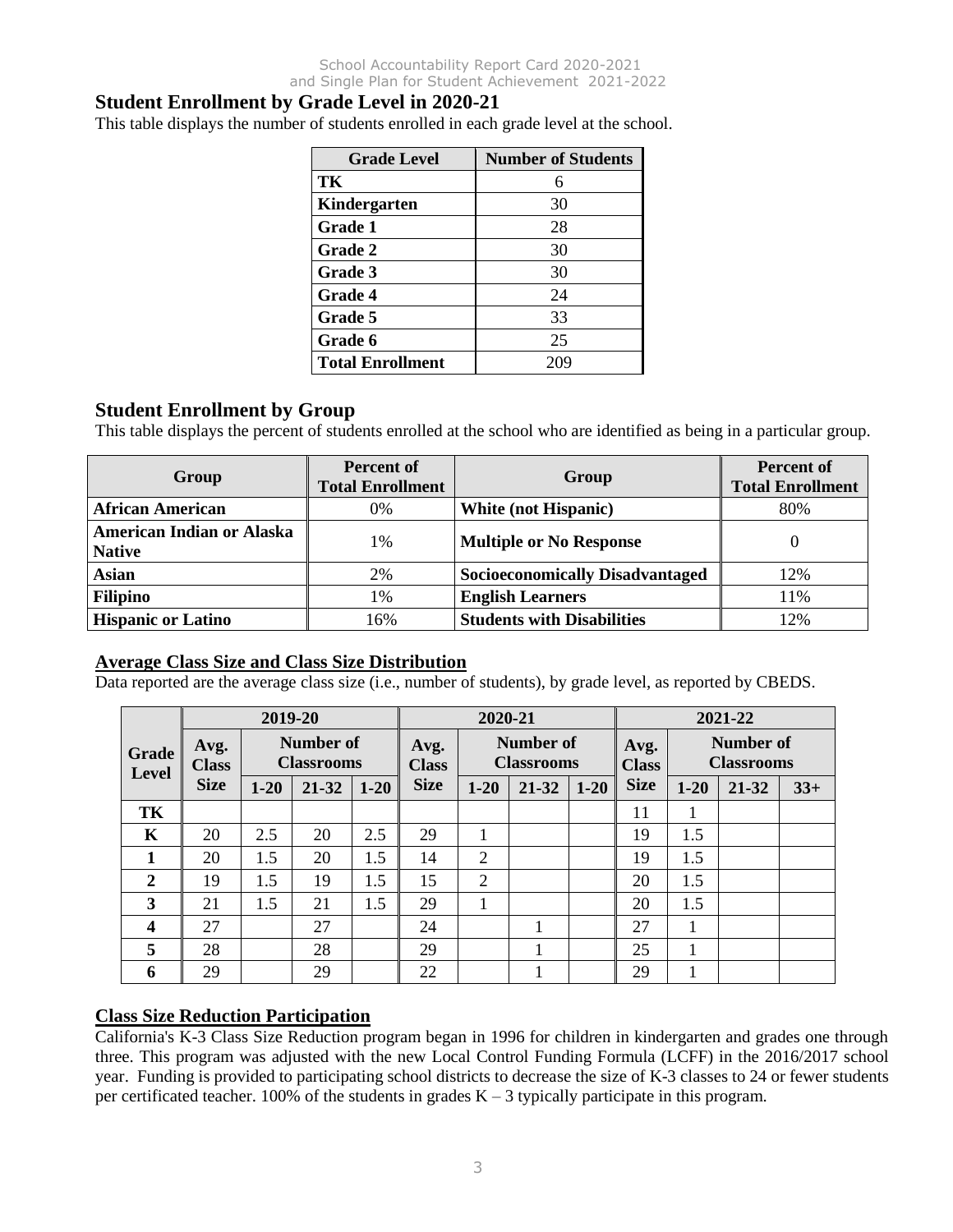# **Student Enrollment by Grade Level in 2020-21**

This table displays the number of students enrolled in each grade level at the school.

| <b>Grade Level</b>      | <b>Number of Students</b> |
|-------------------------|---------------------------|
| TК                      | 6                         |
| Kindergarten            | 30                        |
| <b>Grade 1</b>          | 28                        |
| <b>Grade 2</b>          | 30                        |
| Grade 3                 | 30                        |
| <b>Grade 4</b>          | 24                        |
| Grade 5                 | 33                        |
| Grade 6                 | 25                        |
| <b>Total Enrollment</b> | 209                       |

### **Student Enrollment by Group**

This table displays the percent of students enrolled at the school who are identified as being in a particular group.

| Group                                      | <b>Percent of</b><br><b>Total Enrollment</b> | Group                                  | <b>Percent of</b><br><b>Total Enrollment</b> |
|--------------------------------------------|----------------------------------------------|----------------------------------------|----------------------------------------------|
| <b>African American</b>                    | 0%                                           | <b>White (not Hispanic)</b>            | 80%                                          |
| American Indian or Alaska<br><b>Native</b> | 1%                                           | <b>Multiple or No Response</b>         | 0                                            |
| <b>Asian</b>                               | 2%                                           | <b>Socioeconomically Disadvantaged</b> | 12%                                          |
| <b>Filipino</b>                            | 1%                                           | <b>English Learners</b>                | 11%                                          |
| <b>Hispanic or Latino</b>                  | 16%                                          | <b>Students with Disabilities</b>      | 12%                                          |

### **Average Class Size and Class Size Distribution**

Data reported are the average class size (i.e., number of students), by grade level, as reported by CBEDS.

|                              |                      | 2019-20                        |       |                                                        | 2020-21     |                      |       |                                |             | 2021-22  |       |       |
|------------------------------|----------------------|--------------------------------|-------|--------------------------------------------------------|-------------|----------------------|-------|--------------------------------|-------------|----------|-------|-------|
| <b>Grade</b><br><b>Level</b> | Avg.<br><b>Class</b> | Number of<br><b>Classrooms</b> |       | Number of<br>Avg.<br><b>Classrooms</b><br><b>Class</b> |             | Avg.<br><b>Class</b> |       | Number of<br><b>Classrooms</b> |             |          |       |       |
|                              | <b>Size</b>          | $1 - 20$                       | 21-32 | $1 - 20$                                               | <b>Size</b> | $1 - 20$             | 21-32 | $1 - 20$                       | <b>Size</b> | $1 - 20$ | 21-32 | $33+$ |
| TK                           |                      |                                |       |                                                        |             |                      |       |                                | 11          |          |       |       |
| K                            | 20                   | 2.5                            | 20    | 2.5                                                    | 29          |                      |       |                                | 19          | 1.5      |       |       |
|                              | 20                   | 1.5                            | 20    | 1.5                                                    | 14          | $\overline{2}$       |       |                                | 19          | 1.5      |       |       |
| 2                            | 19                   | 1.5                            | 19    | 1.5                                                    | 15          | $\overline{2}$       |       |                                | 20          | 1.5      |       |       |
| 3                            | 21                   | 1.5                            | 21    | 1.5                                                    | 29          |                      |       |                                | 20          | 1.5      |       |       |
| $\boldsymbol{4}$             | 27                   |                                | 27    |                                                        | 24          |                      |       |                                | 27          |          |       |       |
| 5                            | 28                   |                                | 28    |                                                        | 29          |                      |       |                                | 25          |          |       |       |
| 6                            | 29                   |                                | 29    |                                                        | 22          |                      |       |                                | 29          |          |       |       |

### **Class Size Reduction Participation**

California's K-3 Class Size Reduction program began in 1996 for children in kindergarten and grades one through three. This program was adjusted with the new Local Control Funding Formula (LCFF) in the 2016/2017 school year. Funding is provided to participating school districts to decrease the size of K-3 classes to 24 or fewer students per certificated teacher. 100% of the students in grades  $K - 3$  typically participate in this program.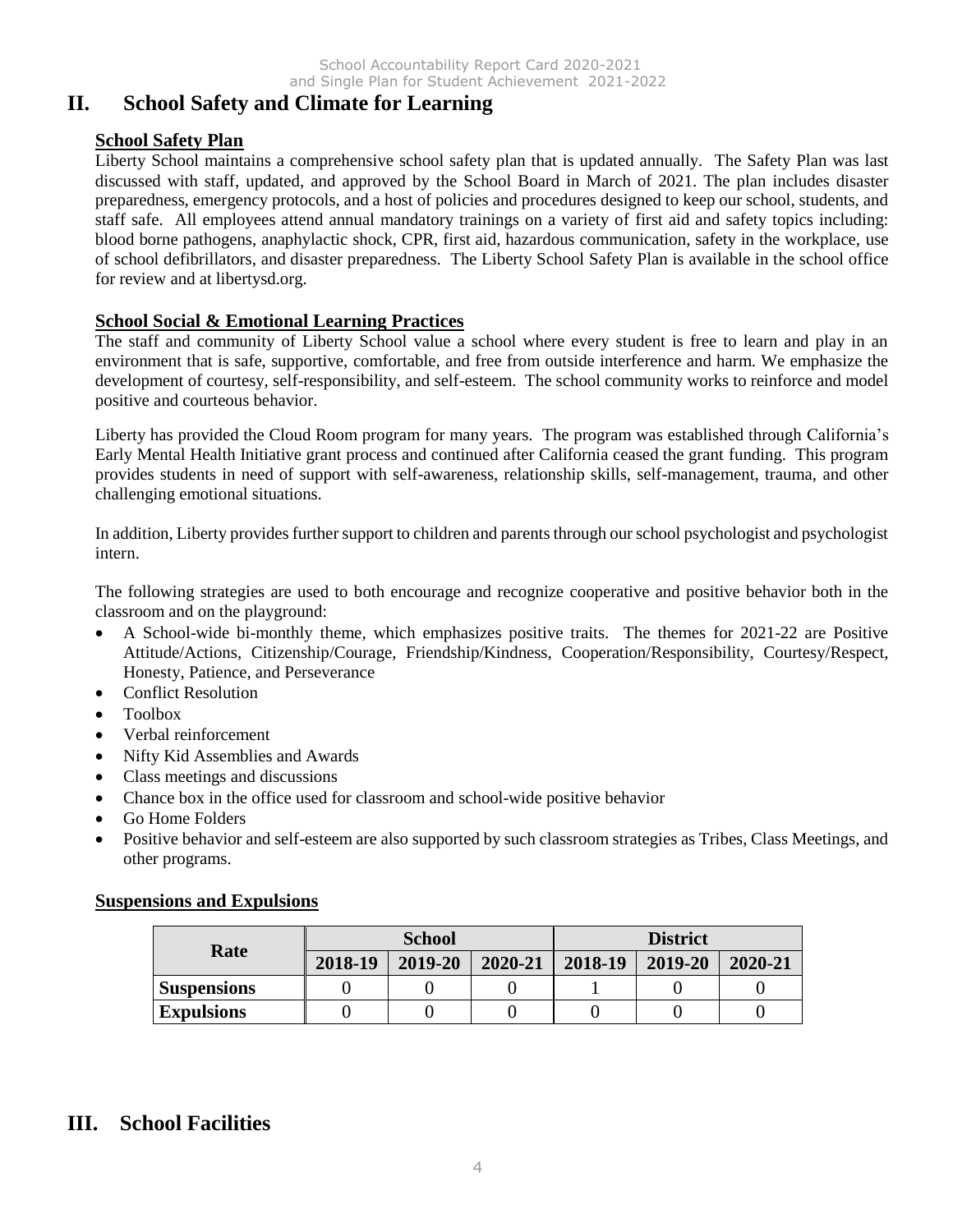# **II. School Safety and Climate for Learning**

## **School Safety Plan**

Liberty School maintains a comprehensive school safety plan that is updated annually. The Safety Plan was last discussed with staff, updated, and approved by the School Board in March of 2021. The plan includes disaster preparedness, emergency protocols, and a host of policies and procedures designed to keep our school, students, and staff safe. All employees attend annual mandatory trainings on a variety of first aid and safety topics including: blood borne pathogens, anaphylactic shock, CPR, first aid, hazardous communication, safety in the workplace, use of school defibrillators, and disaster preparedness. The Liberty School Safety Plan is available in the school office for review and at libertysd.org.

## **School Social & Emotional Learning Practices**

The staff and community of Liberty School value a school where every student is free to learn and play in an environment that is safe, supportive, comfortable, and free from outside interference and harm. We emphasize the development of courtesy, self-responsibility, and self-esteem. The school community works to reinforce and model positive and courteous behavior.

Liberty has provided the Cloud Room program for many years. The program was established through California's Early Mental Health Initiative grant process and continued after California ceased the grant funding. This program provides students in need of support with self-awareness, relationship skills, self-management, trauma, and other challenging emotional situations.

In addition, Liberty provides further support to children and parents through our school psychologist and psychologist intern.

The following strategies are used to both encourage and recognize cooperative and positive behavior both in the classroom and on the playground:

- A School-wide bi-monthly theme, which emphasizes positive traits. The themes for 2021-22 are Positive Attitude/Actions, Citizenship/Courage, Friendship/Kindness, Cooperation/Responsibility, Courtesy/Respect, Honesty, Patience, and Perseverance
- Conflict Resolution
- Toolbox
- Verbal reinforcement
- Nifty Kid Assemblies and Awards
- Class meetings and discussions
- Chance box in the office used for classroom and school-wide positive behavior
- Go Home Folders
- Positive behavior and self-esteem are also supported by such classroom strategies as Tribes, Class Meetings, and other programs.

### **Suspensions and Expulsions**

|                    |         | <b>School</b> |         | <b>District</b> |         |         |  |
|--------------------|---------|---------------|---------|-----------------|---------|---------|--|
| Rate               | 2018-19 | 2019-20       | 2020-21 | 2018-19         | 2019-20 | 2020-21 |  |
| <b>Suspensions</b> |         |               |         |                 |         |         |  |
| <b>Expulsions</b>  |         |               |         |                 |         |         |  |

# **III. School Facilities**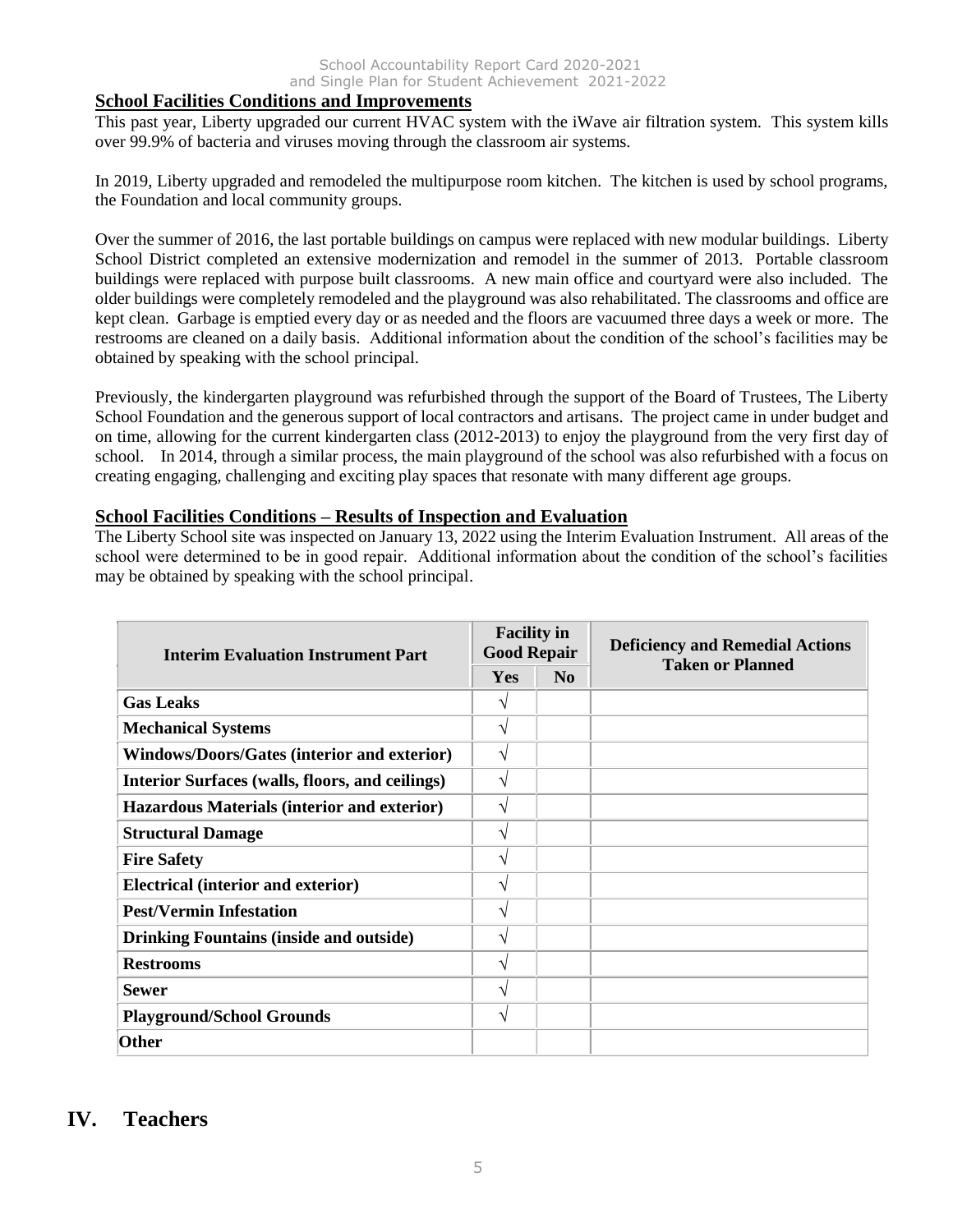#### **School Facilities Conditions and Improvements**

This past year, Liberty upgraded our current HVAC system with the iWave air filtration system. This system kills over 99.9% of bacteria and viruses moving through the classroom air systems.

In 2019, Liberty upgraded and remodeled the multipurpose room kitchen. The kitchen is used by school programs, the Foundation and local community groups.

Over the summer of 2016, the last portable buildings on campus were replaced with new modular buildings. Liberty School District completed an extensive modernization and remodel in the summer of 2013. Portable classroom buildings were replaced with purpose built classrooms. A new main office and courtyard were also included. The older buildings were completely remodeled and the playground was also rehabilitated. The classrooms and office are kept clean. Garbage is emptied every day or as needed and the floors are vacuumed three days a week or more. The restrooms are cleaned on a daily basis. Additional information about the condition of the school's facilities may be obtained by speaking with the school principal.

Previously, the kindergarten playground was refurbished through the support of the Board of Trustees, The Liberty School Foundation and the generous support of local contractors and artisans. The project came in under budget and on time, allowing for the current kindergarten class (2012-2013) to enjoy the playground from the very first day of school. In 2014, through a similar process, the main playground of the school was also refurbished with a focus on creating engaging, challenging and exciting play spaces that resonate with many different age groups.

#### **School Facilities Conditions – Results of Inspection and Evaluation**

The Liberty School site was inspected on January 13, 2022 using the Interim Evaluation Instrument. All areas of the school were determined to be in good repair. Additional information about the condition of the school's facilities may be obtained by speaking with the school principal.

| <b>Interim Evaluation Instrument Part</b>          | <b>Facility in</b><br><b>Good Repair</b> |                | <b>Deficiency and Remedial Actions</b><br><b>Taken or Planned</b> |  |
|----------------------------------------------------|------------------------------------------|----------------|-------------------------------------------------------------------|--|
|                                                    | <b>Yes</b>                               | N <sub>0</sub> |                                                                   |  |
| <b>Gas Leaks</b>                                   |                                          |                |                                                                   |  |
| <b>Mechanical Systems</b>                          | V                                        |                |                                                                   |  |
| <b>Windows/Doors/Gates (interior and exterior)</b> | V                                        |                |                                                                   |  |
| Interior Surfaces (walls, floors, and ceilings)    | V                                        |                |                                                                   |  |
| Hazardous Materials (interior and exterior)        | V                                        |                |                                                                   |  |
| <b>Structural Damage</b>                           | V                                        |                |                                                                   |  |
| <b>Fire Safety</b>                                 | V                                        |                |                                                                   |  |
| <b>Electrical (interior and exterior)</b>          | ٦                                        |                |                                                                   |  |
| <b>Pest/Vermin Infestation</b>                     | V                                        |                |                                                                   |  |
| <b>Drinking Fountains (inside and outside)</b>     | V                                        |                |                                                                   |  |
| <b>Restrooms</b>                                   | V                                        |                |                                                                   |  |
| <b>Sewer</b>                                       | ٦                                        |                |                                                                   |  |
| <b>Playground/School Grounds</b>                   | V                                        |                |                                                                   |  |
| <b>Other</b>                                       |                                          |                |                                                                   |  |

# **IV. Teachers**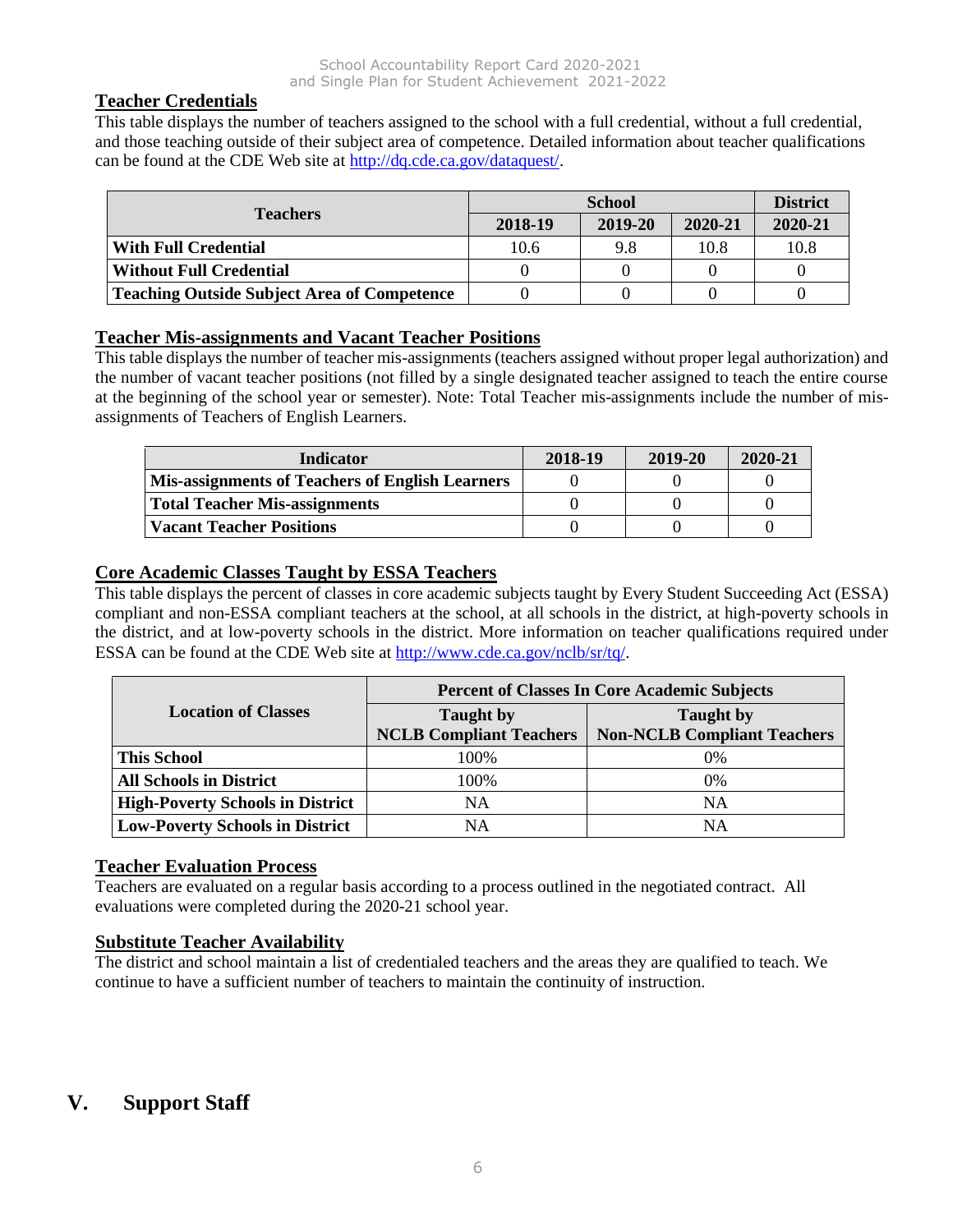### **Teacher Credentials**

This table displays the number of teachers assigned to the school with a full credential, without a full credential, and those teaching outside of their subject area of competence. Detailed information about teacher qualifications can be found at the CDE Web site at [http://dq.cde.ca.gov/dataquest/.](http://dq.cde.ca.gov/dataquest/)

| <b>Teachers</b>                                    |         | <b>District</b> |         |         |
|----------------------------------------------------|---------|-----------------|---------|---------|
|                                                    | 2018-19 | 2019-20         | 2020-21 | 2020-21 |
| <b>With Full Credential</b>                        | 10.6    | 9.8             | 10.8    | 10.8    |
| <b>Without Full Credential</b>                     |         |                 |         |         |
| <b>Teaching Outside Subject Area of Competence</b> |         |                 |         |         |

## **Teacher Mis-assignments and Vacant Teacher Positions**

This table displays the number of teacher mis-assignments (teachers assigned without proper legal authorization) and the number of vacant teacher positions (not filled by a single designated teacher assigned to teach the entire course at the beginning of the school year or semester). Note: Total Teacher mis-assignments include the number of misassignments of Teachers of English Learners.

| Indicator                                              | 2018-19 | 2019-20 | 2020-21 |
|--------------------------------------------------------|---------|---------|---------|
| <b>Mis-assignments of Teachers of English Learners</b> |         |         |         |
| Total Teacher Mis-assignments                          |         |         |         |
| <b>Vacant Teacher Positions</b>                        |         |         |         |

## **Core Academic Classes Taught by ESSA Teachers**

This table displays the percent of classes in core academic subjects taught by Every Student Succeeding Act (ESSA) compliant and non-ESSA compliant teachers at the school, at all schools in the district, at high-poverty schools in the district, and at low-poverty schools in the district. More information on teacher qualifications required under ESSA can be found at the CDE Web site at [http://www.cde.ca.gov/nclb/sr/tq/.](http://www.cde.ca.gov/nclb/sr/tq/)

|                                         | <b>Percent of Classes In Core Academic Subjects</b> |                                                        |  |  |
|-----------------------------------------|-----------------------------------------------------|--------------------------------------------------------|--|--|
| <b>Location of Classes</b>              | <b>Taught</b> by<br><b>NCLB Compliant Teachers</b>  | <b>Taught</b> by<br><b>Non-NCLB Compliant Teachers</b> |  |  |
| <b>This School</b>                      | 100%                                                | 0%                                                     |  |  |
| <b>All Schools in District</b>          | 100%                                                | 0%                                                     |  |  |
| <b>High-Poverty Schools in District</b> | NΑ                                                  | NA                                                     |  |  |
| <b>Low-Poverty Schools in District</b>  | NΑ                                                  | NA                                                     |  |  |

### **Teacher Evaluation Process**

Teachers are evaluated on a regular basis according to a process outlined in the negotiated contract. All evaluations were completed during the 2020-21 school year.

### **Substitute Teacher Availability**

The district and school maintain a list of credentialed teachers and the areas they are qualified to teach. We continue to have a sufficient number of teachers to maintain the continuity of instruction.

# **V. Support Staff**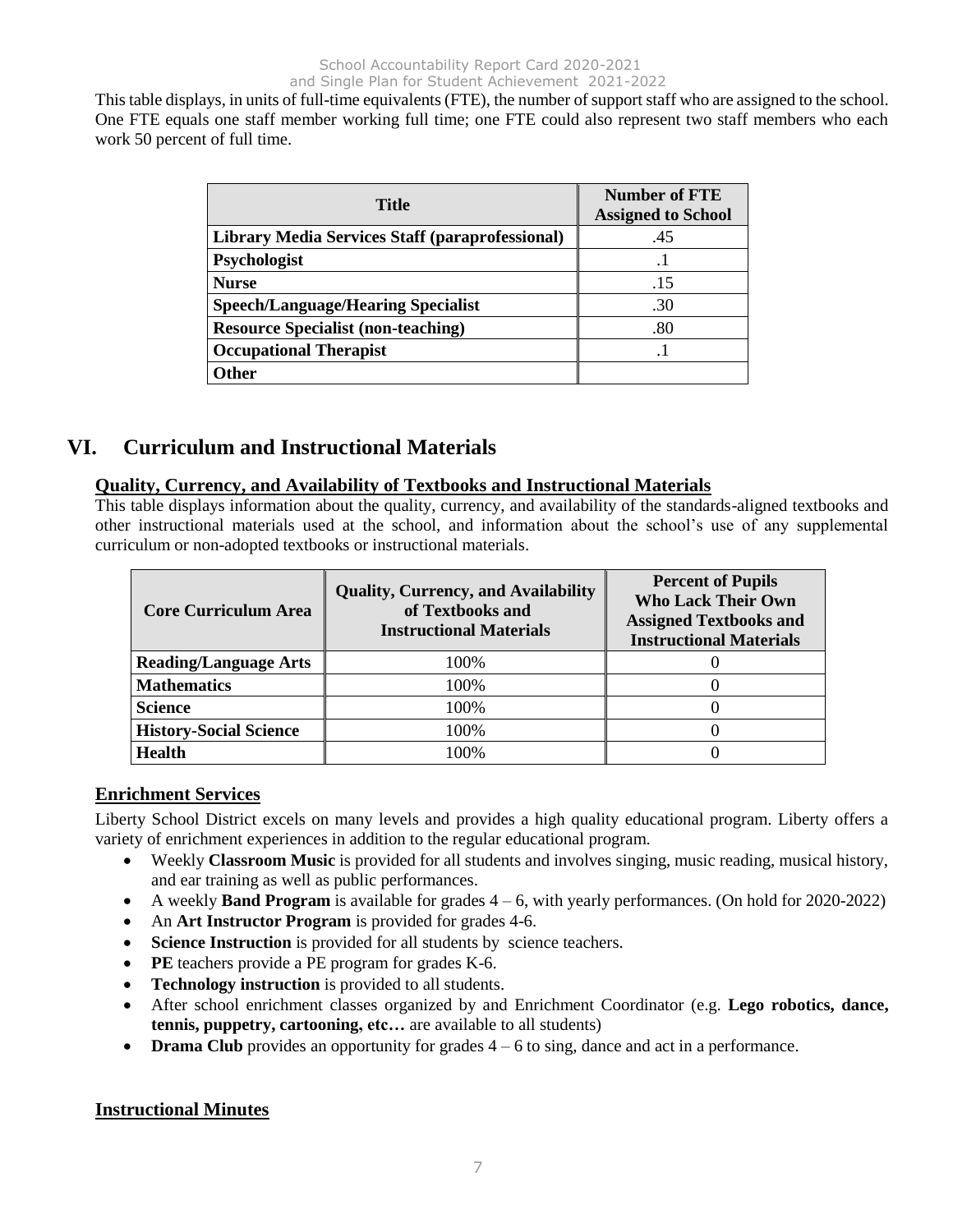This table displays, in units of full-time equivalents (FTE), the number of support staff who are assigned to the school. One FTE equals one staff member working full time; one FTE could also represent two staff members who each work 50 percent of full time.

| <b>Title</b>                                           | <b>Number of FTE</b><br><b>Assigned to School</b> |
|--------------------------------------------------------|---------------------------------------------------|
| <b>Library Media Services Staff (paraprofessional)</b> | .45                                               |
| Psychologist                                           |                                                   |
| <b>Nurse</b>                                           | .15                                               |
| <b>Speech/Language/Hearing Specialist</b>              | .30                                               |
| <b>Resource Specialist (non-teaching)</b>              | .80                                               |
| <b>Occupational Therapist</b>                          |                                                   |
| Other                                                  |                                                   |

# **VI. Curriculum and Instructional Materials**

### **Quality, Currency, and Availability of Textbooks and Instructional Materials**

This table displays information about the quality, currency, and availability of the standards-aligned textbooks and other instructional materials used at the school, and information about the school's use of any supplemental curriculum or non-adopted textbooks or instructional materials.

| <b>Core Curriculum Area</b>   | <b>Quality, Currency, and Availability</b><br>of Textbooks and<br><b>Instructional Materials</b> | <b>Percent of Pupils</b><br><b>Who Lack Their Own</b><br><b>Assigned Textbooks and</b><br><b>Instructional Materials</b> |
|-------------------------------|--------------------------------------------------------------------------------------------------|--------------------------------------------------------------------------------------------------------------------------|
| <b>Reading/Language Arts</b>  | 100%                                                                                             |                                                                                                                          |
| <b>Mathematics</b>            | 100\%                                                                                            |                                                                                                                          |
| <b>Science</b>                | 100%                                                                                             |                                                                                                                          |
| <b>History-Social Science</b> | 100%                                                                                             |                                                                                                                          |
| <b>Health</b>                 | $100\%$                                                                                          |                                                                                                                          |

# **Enrichment Services**

Liberty School District excels on many levels and provides a high quality educational program. Liberty offers a variety of enrichment experiences in addition to the regular educational program.

- Weekly **Classroom Music** is provided for all students and involves singing, music reading, musical history, and ear training as well as public performances.
- A weekly **Band Program** is available for grades 4 6, with yearly performances. (On hold for 2020-2022)
- An **Art Instructor Program** is provided for grades 4-6.
- **Science Instruction** is provided for all students by science teachers.
- **PE** teachers provide a PE program for grades K-6.
- **Technology instruction** is provided to all students.
- After school enrichment classes organized by and Enrichment Coordinator (e.g. **Lego robotics, dance, tennis, puppetry, cartooning, etc…** are available to all students)
- **Drama Club** provides an opportunity for grades  $4 6$  to sing, dance and act in a performance.

### **Instructional Minutes**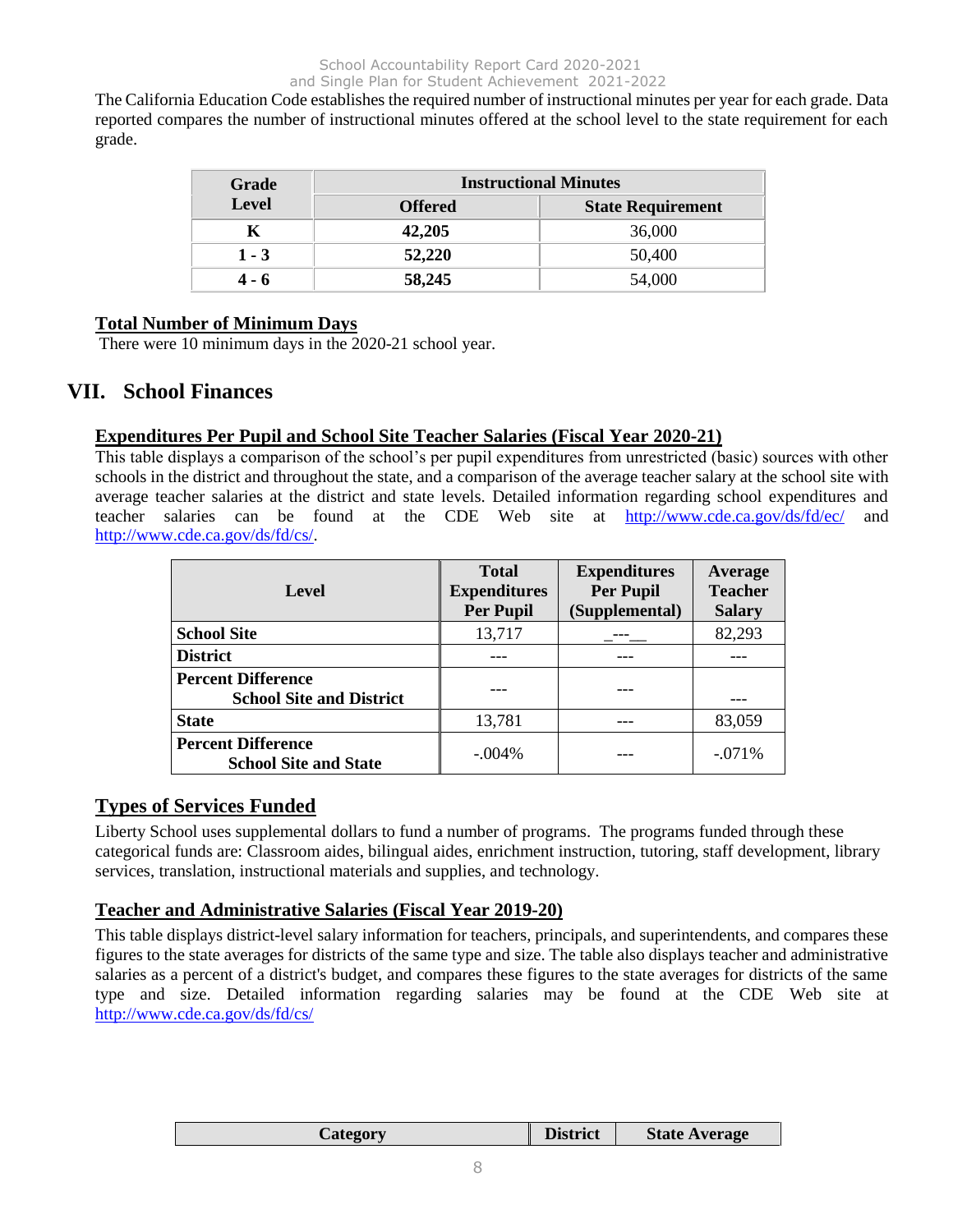The California Education Code establishes the required number of instructional minutes per year for each grade. Data reported compares the number of instructional minutes offered at the school level to the state requirement for each grade.

| Grade        | <b>Instructional Minutes</b> |                          |  |  |
|--------------|------------------------------|--------------------------|--|--|
| <b>Level</b> | <b>Offered</b>               | <b>State Requirement</b> |  |  |
|              | 42,205                       | 36,000                   |  |  |
| $1 - 3$      | 52,220                       | 50,400                   |  |  |
| 4 - 6        | 58,245                       | 54,000                   |  |  |

### **Total Number of Minimum Days**

There were 10 minimum days in the 2020-21 school year.

# **VII. School Finances**

### **Expenditures Per Pupil and School Site Teacher Salaries (Fiscal Year 2020-21)**

This table displays a comparison of the school's per pupil expenditures from unrestricted (basic) sources with other schools in the district and throughout the state, and a comparison of the average teacher salary at the school site with average teacher salaries at the district and state levels. Detailed information regarding school expenditures and teacher salaries can be found at the CDE Web site at <http://www.cde.ca.gov/ds/fd/ec/> and [http://www.cde.ca.gov/ds/fd/cs/.](http://www.cde.ca.gov/ds/fd/cs/)

| Level                                                        | <b>Total</b><br><b>Expenditures</b><br><b>Per Pupil</b> | <b>Expenditures</b><br><b>Per Pupil</b><br>(Supplemental) | Average<br><b>Teacher</b><br><b>Salary</b> |
|--------------------------------------------------------------|---------------------------------------------------------|-----------------------------------------------------------|--------------------------------------------|
| <b>School Site</b>                                           | 13,717                                                  |                                                           | 82,293                                     |
| <b>District</b>                                              |                                                         |                                                           |                                            |
| <b>Percent Difference</b><br><b>School Site and District</b> |                                                         |                                                           |                                            |
| <b>State</b>                                                 | 13,781                                                  |                                                           | 83,059                                     |
| <b>Percent Difference</b><br><b>School Site and State</b>    | $-.004%$                                                |                                                           | $-0.071\%$                                 |

## **Types of Services Funded**

Liberty School uses supplemental dollars to fund a number of programs. The programs funded through these categorical funds are: Classroom aides, bilingual aides, enrichment instruction, tutoring, staff development, library services, translation, instructional materials and supplies, and technology.

#### **Teacher and Administrative Salaries (Fiscal Year 2019-20)**

This table displays district-level salary information for teachers, principals, and superintendents, and compares these figures to the state averages for districts of the same type and size. The table also displays teacher and administrative salaries as a percent of a district's budget, and compares these figures to the state averages for districts of the same type and size. Detailed information regarding salaries may be found at the CDE Web site at <http://www.cde.ca.gov/ds/fd/cs/>

| <b>District</b><br><b>State Average</b><br>Category |
|-----------------------------------------------------|
|-----------------------------------------------------|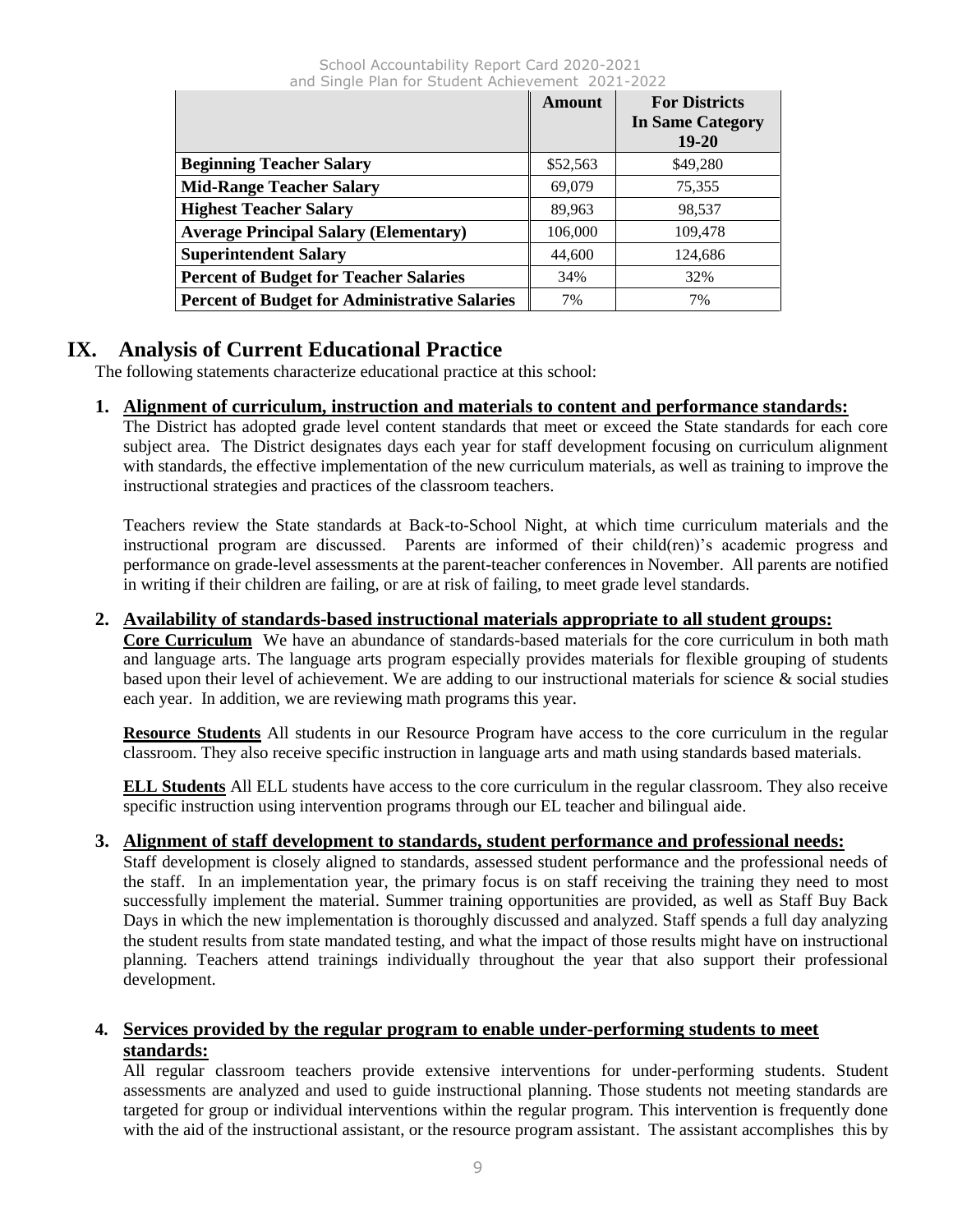|                                                      | Amount   | <b>For Districts</b><br><b>In Same Category</b><br>$19 - 20$ |
|------------------------------------------------------|----------|--------------------------------------------------------------|
| <b>Beginning Teacher Salary</b>                      | \$52,563 | \$49,280                                                     |
| <b>Mid-Range Teacher Salary</b>                      | 69,079   | 75,355                                                       |
| <b>Highest Teacher Salary</b>                        | 89,963   | 98,537                                                       |
| <b>Average Principal Salary (Elementary)</b>         | 106,000  | 109,478                                                      |
| <b>Superintendent Salary</b>                         | 44,600   | 124,686                                                      |
| <b>Percent of Budget for Teacher Salaries</b>        | 34%      | 32%                                                          |
| <b>Percent of Budget for Administrative Salaries</b> | 7%       | 7%                                                           |

# **IX. Analysis of Current Educational Practice**

The following statements characterize educational practice at this school:

# **1. Alignment of curriculum, instruction and materials to content and performance standards:**

The District has adopted grade level content standards that meet or exceed the State standards for each core subject area. The District designates days each year for staff development focusing on curriculum alignment with standards, the effective implementation of the new curriculum materials, as well as training to improve the instructional strategies and practices of the classroom teachers.

Teachers review the State standards at Back-to-School Night, at which time curriculum materials and the instructional program are discussed. Parents are informed of their child(ren)'s academic progress and performance on grade-level assessments at the parent-teacher conferences in November. All parents are notified in writing if their children are failing, or are at risk of failing, to meet grade level standards.

### **2. Availability of standards-based instructional materials appropriate to all student groups:**

**Core Curriculum** We have an abundance of standards-based materials for the core curriculum in both math and language arts. The language arts program especially provides materials for flexible grouping of students based upon their level of achievement. We are adding to our instructional materials for science & social studies each year. In addition, we are reviewing math programs this year.

**Resource Students** All students in our Resource Program have access to the core curriculum in the regular classroom. They also receive specific instruction in language arts and math using standards based materials.

**ELL Students** All ELL students have access to the core curriculum in the regular classroom. They also receive specific instruction using intervention programs through our EL teacher and bilingual aide.

# **3. Alignment of staff development to standards, student performance and professional needs:**

Staff development is closely aligned to standards, assessed student performance and the professional needs of the staff. In an implementation year, the primary focus is on staff receiving the training they need to most successfully implement the material. Summer training opportunities are provided, as well as Staff Buy Back Days in which the new implementation is thoroughly discussed and analyzed. Staff spends a full day analyzing the student results from state mandated testing, and what the impact of those results might have on instructional planning. Teachers attend trainings individually throughout the year that also support their professional development.

# **4. Services provided by the regular program to enable under-performing students to meet standards:**

All regular classroom teachers provide extensive interventions for under-performing students. Student assessments are analyzed and used to guide instructional planning. Those students not meeting standards are targeted for group or individual interventions within the regular program. This intervention is frequently done with the aid of the instructional assistant, or the resource program assistant. The assistant accomplishes this by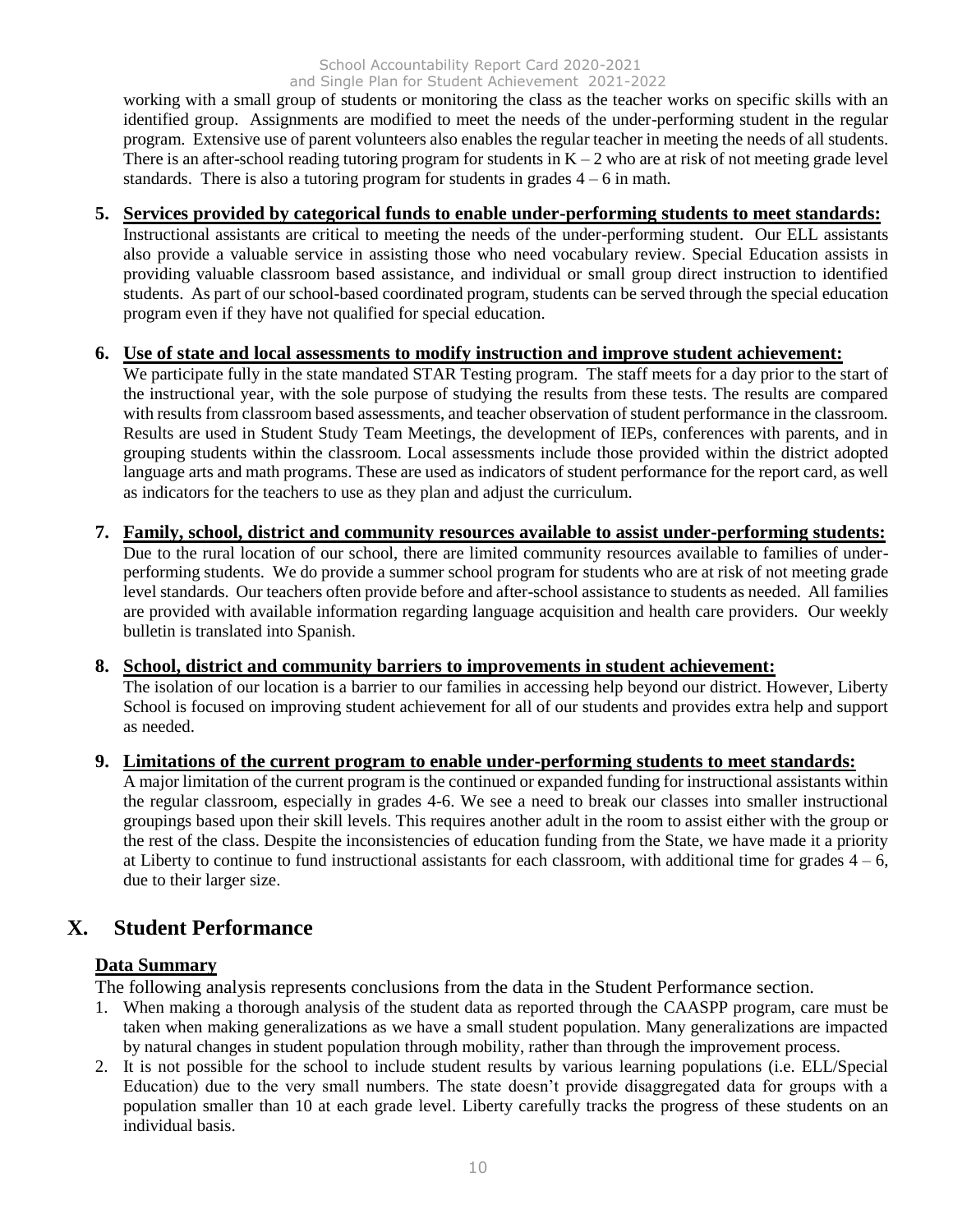working with a small group of students or monitoring the class as the teacher works on specific skills with an identified group. Assignments are modified to meet the needs of the under-performing student in the regular program. Extensive use of parent volunteers also enables the regular teacher in meeting the needs of all students. There is an after-school reading tutoring program for students in  $K - 2$  who are at risk of not meeting grade level standards. There is also a tutoring program for students in grades  $4 - 6$  in math.

## **5. Services provided by categorical funds to enable under-performing students to meet standards:**

Instructional assistants are critical to meeting the needs of the under-performing student. Our ELL assistants also provide a valuable service in assisting those who need vocabulary review. Special Education assists in providing valuable classroom based assistance, and individual or small group direct instruction to identified students. As part of our school-based coordinated program, students can be served through the special education program even if they have not qualified for special education.

# **6. Use of state and local assessments to modify instruction and improve student achievement:**

We participate fully in the state mandated STAR Testing program. The staff meets for a day prior to the start of the instructional year, with the sole purpose of studying the results from these tests. The results are compared with results from classroom based assessments, and teacher observation of student performance in the classroom. Results are used in Student Study Team Meetings, the development of IEPs, conferences with parents, and in grouping students within the classroom. Local assessments include those provided within the district adopted language arts and math programs. These are used as indicators of student performance for the report card, as well as indicators for the teachers to use as they plan and adjust the curriculum.

#### **7. Family, school, district and community resources available to assist under-performing students:** Due to the rural location of our school, there are limited community resources available to families of underperforming students. We do provide a summer school program for students who are at risk of not meeting grade level standards. Our teachers often provide before and after-school assistance to students as needed. All families are provided with available information regarding language acquisition and health care providers. Our weekly bulletin is translated into Spanish.

# **8. School, district and community barriers to improvements in student achievement:**

The isolation of our location is a barrier to our families in accessing help beyond our district. However, Liberty School is focused on improving student achievement for all of our students and provides extra help and support as needed.

# **9. Limitations of the current program to enable under-performing students to meet standards:**

A major limitation of the current program is the continued or expanded funding for instructional assistants within the regular classroom, especially in grades 4-6. We see a need to break our classes into smaller instructional groupings based upon their skill levels. This requires another adult in the room to assist either with the group or the rest of the class. Despite the inconsistencies of education funding from the State, we have made it a priority at Liberty to continue to fund instructional assistants for each classroom, with additional time for grades  $4 - 6$ , due to their larger size.

# **X. Student Performance**

### **Data Summary**

The following analysis represents conclusions from the data in the Student Performance section.

- 1. When making a thorough analysis of the student data as reported through the CAASPP program, care must be taken when making generalizations as we have a small student population. Many generalizations are impacted by natural changes in student population through mobility, rather than through the improvement process.
- 2. It is not possible for the school to include student results by various learning populations (i.e. ELL/Special Education) due to the very small numbers. The state doesn't provide disaggregated data for groups with a population smaller than 10 at each grade level. Liberty carefully tracks the progress of these students on an individual basis.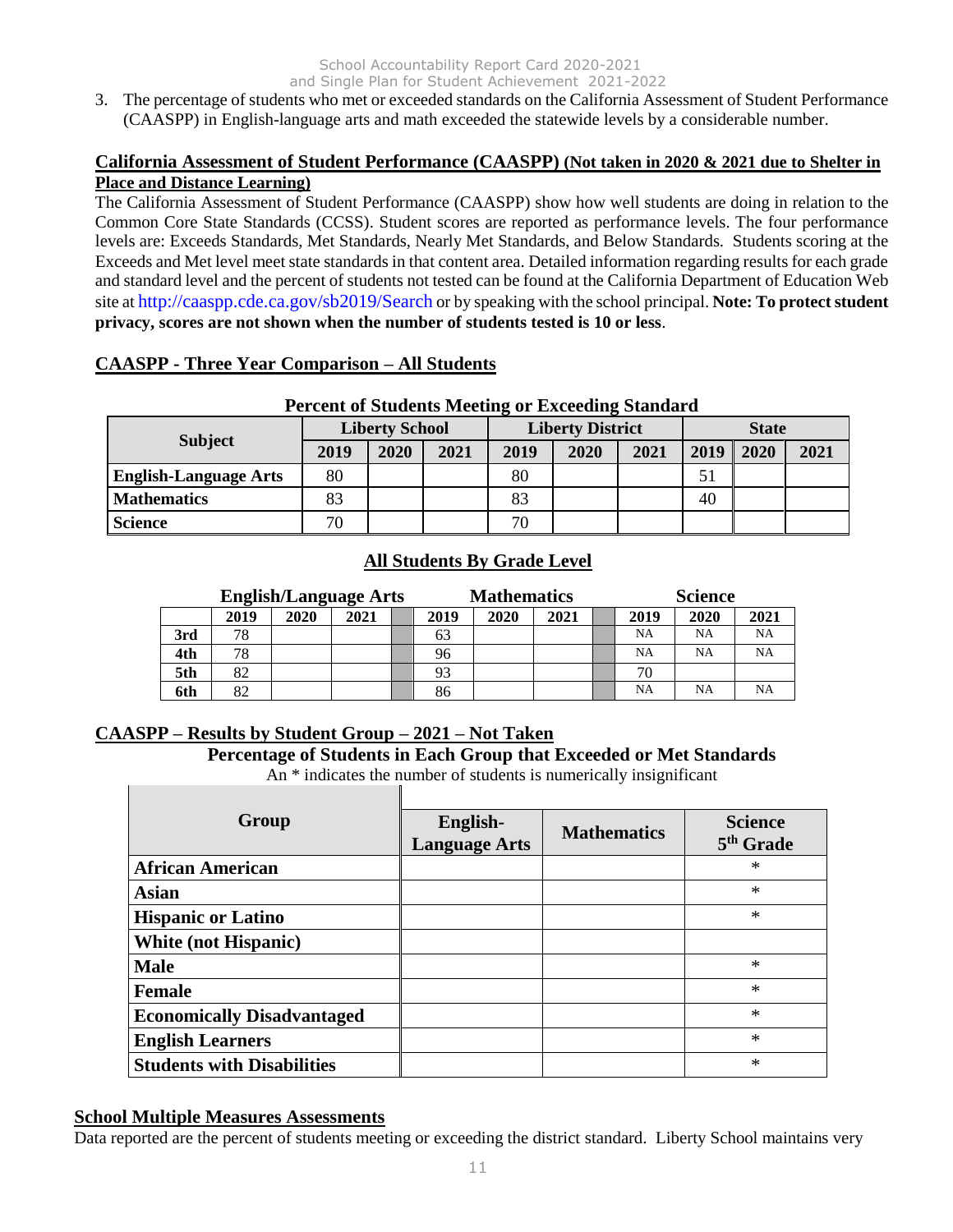3. The percentage of students who met or exceeded standards on the California Assessment of Student Performance (CAASPP) in English-language arts and math exceeded the statewide levels by a considerable number.

### **California Assessment of Student Performance (CAASPP) (Not taken in 2020 & 2021 due to Shelter in Place and Distance Learning)**

The California Assessment of Student Performance (CAASPP) show how well students are doing in relation to the Common Core State Standards (CCSS). Student scores are reported as performance levels. The four performance levels are: Exceeds Standards, Met Standards, Nearly Met Standards, and Below Standards. Students scoring at the Exceeds and Met level meet state standards in that content area. Detailed information regarding results for each grade and standard level and the percent of students not tested can be found at the California Department of Education Web site at http://caaspp.cde.ca.gov/sb2019/Search or by speaking with the school principal. **Note: To protect student privacy, scores are not shown when the number of students tested is 10 or less**.

# **CAASPP - Three Year Comparison – All Students**

# **Percent of Students Meeting or Exceeding Standard**

|                              | <b>Liberty School</b> |      |      | <b>Liberty District</b> |      |      | <b>State</b> |      |      |
|------------------------------|-----------------------|------|------|-------------------------|------|------|--------------|------|------|
| <b>Subject</b>               | 2019                  | 2020 | 2021 | 2019                    | 2020 | 2021 | 2019         | 2020 | 2021 |
| <b>English-Language Arts</b> | 80                    |      |      | 80                      |      |      | 51           |      |      |
| <b>Mathematics</b>           | 83                    |      |      | 83                      |      |      | 40           |      |      |
| <b>Science</b>               | 70                    |      |      | 70                      |      |      |              |      |      |

# **All Students By Grade Level**

| <b>English/Language Arts</b> |      |      | <b>Mathematics</b> |  |      | <b>Science</b> |      |  |           |           |           |
|------------------------------|------|------|--------------------|--|------|----------------|------|--|-----------|-----------|-----------|
|                              | 2019 | 2020 | 2021               |  | 2019 | 2020           | 2021 |  | 2019      | 2020      | 2021      |
| 3rd                          | 78   |      |                    |  | 63   |                |      |  | <b>NA</b> | NA        | <b>NA</b> |
| 4th                          | 78   |      |                    |  | 96   |                |      |  | NA        | <b>NA</b> | <b>NA</b> |
| 5th                          | 82   |      |                    |  | 93   |                |      |  | 70        |           |           |
| 6th                          | 82   |      |                    |  | 86   |                |      |  | NA        | <b>NA</b> | <b>NA</b> |

# **CAASPP – Results by Student Group – 2021 – Not Taken**

# **Percentage of Students in Each Group that Exceeded or Met Standards**

An \* indicates the number of students is numerically insignificant

| Group                             | English-<br><b>Language Arts</b> | <b>Mathematics</b> | <b>Science</b><br>5 <sup>th</sup> Grade |
|-----------------------------------|----------------------------------|--------------------|-----------------------------------------|
| <b>African American</b>           |                                  |                    | $\ast$                                  |
| <b>Asian</b>                      |                                  |                    | *                                       |
| <b>Hispanic or Latino</b>         |                                  |                    | $\ast$                                  |
| <b>White (not Hispanic)</b>       |                                  |                    |                                         |
| <b>Male</b>                       |                                  |                    | *                                       |
| <b>Female</b>                     |                                  |                    | *                                       |
| <b>Economically Disadvantaged</b> |                                  |                    | *                                       |
| <b>English Learners</b>           |                                  |                    | $\ast$                                  |
| <b>Students with Disabilities</b> |                                  |                    | *                                       |

### **School Multiple Measures Assessments**

Г

Data reported are the percent of students meeting or exceeding the district standard. Liberty School maintains very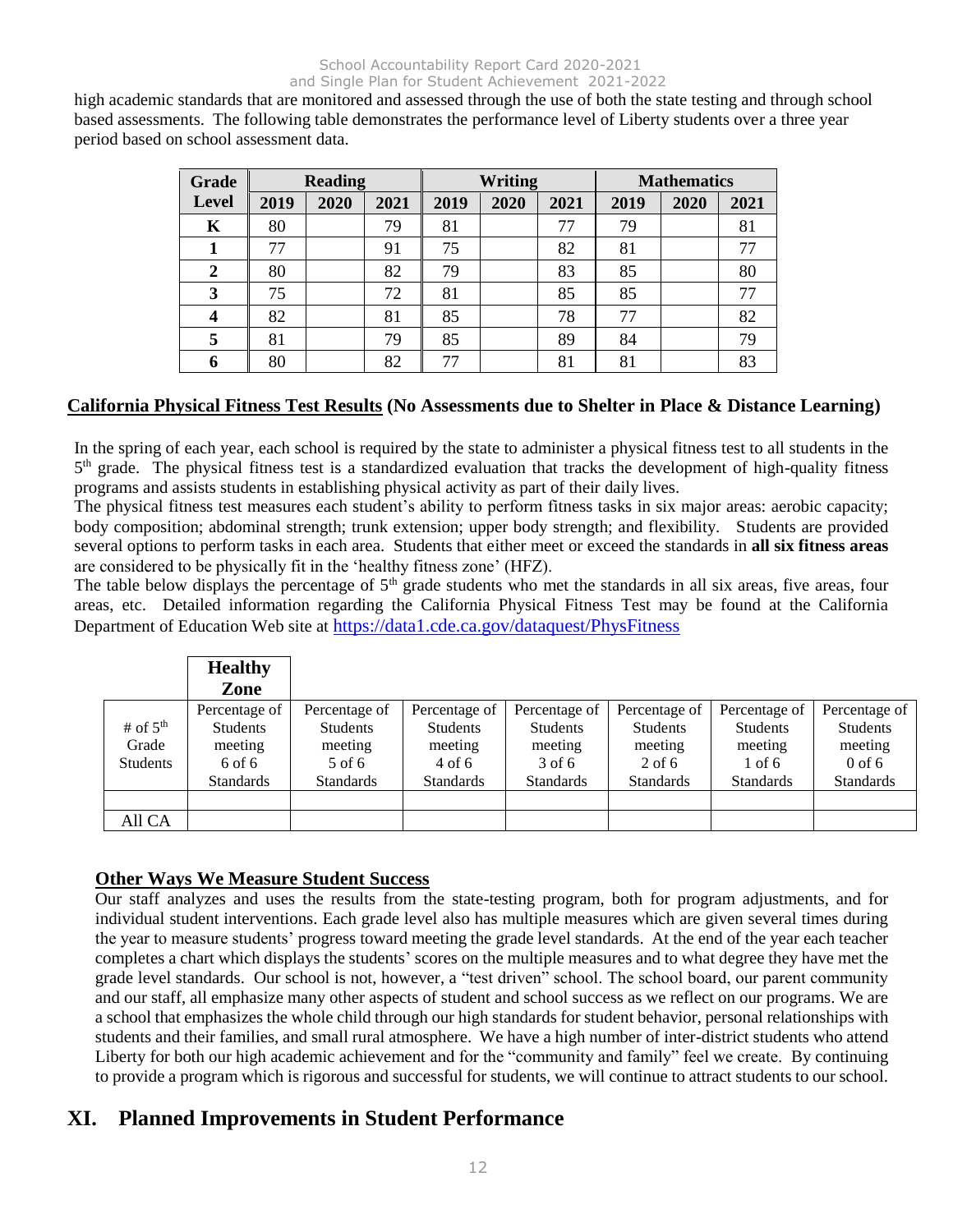high academic standards that are monitored and assessed through the use of both the state testing and through school based assessments. The following table demonstrates the performance level of Liberty students over a three year period based on school assessment data.

| Grade                   | <b>Reading</b> |      |      | <b>Writing</b> |      |      | <b>Mathematics</b> |      |      |
|-------------------------|----------------|------|------|----------------|------|------|--------------------|------|------|
| <b>Level</b>            | 2019           | 2020 | 2021 | 2019           | 2020 | 2021 | 2019               | 2020 | 2021 |
| $\bf K$                 | 80             |      | 79   | 81             |      | 77   | 79                 |      | 81   |
| 1                       | 77             |      | 91   | 75             |      | 82   | 81                 |      | 77   |
| $\boldsymbol{2}$        | 80             |      | 82   | 79             |      | 83   | 85                 |      | 80   |
| 3                       | 75             |      | 72   | 81             |      | 85   | 85                 |      | 77   |
| $\overline{\mathbf{4}}$ | 82             |      | 81   | 85             |      | 78   | 77                 |      | 82   |
| 5                       | 81             |      | 79   | 85             |      | 89   | 84                 |      | 79   |
| 6                       | 80             |      | 82   | 77             |      | 81   | 81                 |      | 83   |

# **California Physical Fitness Test Results (No Assessments due to Shelter in Place & Distance Learning)**

In the spring of each year, each school is required by the state to administer a physical fitness test to all students in the 5<sup>th</sup> grade. The physical fitness test is a standardized evaluation that tracks the development of high-quality fitness programs and assists students in establishing physical activity as part of their daily lives.

The physical fitness test measures each student's ability to perform fitness tasks in six major areas: aerobic capacity; body composition; abdominal strength; trunk extension; upper body strength; and flexibility. Students are provided several options to perform tasks in each area. Students that either meet or exceed the standards in **all six fitness areas**  are considered to be physically fit in the 'healthy fitness zone' (HFZ).

The table below displays the percentage of  $5<sup>th</sup>$  grade students who met the standards in all six areas, five areas, four areas, etc. Detailed information regarding the California Physical Fitness Test may be found at the California Department of Education Web site at https://data1.cde.ca.gov/dataquest/PhysFitness

|                 | <b>Healthy</b><br>Zone |                  |                  |                  |                  |                  |                  |
|-----------------|------------------------|------------------|------------------|------------------|------------------|------------------|------------------|
|                 | Percentage of          | Percentage of    | Percentage of    | Percentage of    | Percentage of    | Percentage of    | Percentage of    |
| # of $5th$      | <b>Students</b>        | <b>Students</b>  | <b>Students</b>  | <b>Students</b>  | <b>Students</b>  | <b>Students</b>  | <b>Students</b>  |
| Grade           | meeting                | meeting          | meeting          | meeting          | meeting          | meeting          | meeting          |
| <b>Students</b> | 6 of 6                 | 5 of 6           | $4$ of 6         | 3 of 6           | $2$ of 6         | $1$ of 6         | $0$ of 6         |
|                 | <b>Standards</b>       | <b>Standards</b> | <b>Standards</b> | <b>Standards</b> | <b>Standards</b> | <b>Standards</b> | <b>Standards</b> |
|                 |                        |                  |                  |                  |                  |                  |                  |
| All CA          |                        |                  |                  |                  |                  |                  |                  |

# **Other Ways We Measure Student Success**

Our staff analyzes and uses the results from the state-testing program, both for program adjustments, and for individual student interventions. Each grade level also has multiple measures which are given several times during the year to measure students' progress toward meeting the grade level standards. At the end of the year each teacher completes a chart which displays the students' scores on the multiple measures and to what degree they have met the grade level standards. Our school is not, however, a "test driven" school. The school board, our parent community and our staff, all emphasize many other aspects of student and school success as we reflect on our programs. We are a school that emphasizes the whole child through our high standards for student behavior, personal relationships with students and their families, and small rural atmosphere. We have a high number of inter-district students who attend Liberty for both our high academic achievement and for the "community and family" feel we create. By continuing to provide a program which is rigorous and successful for students, we will continue to attract students to our school.

# **XI. Planned Improvements in Student Performance**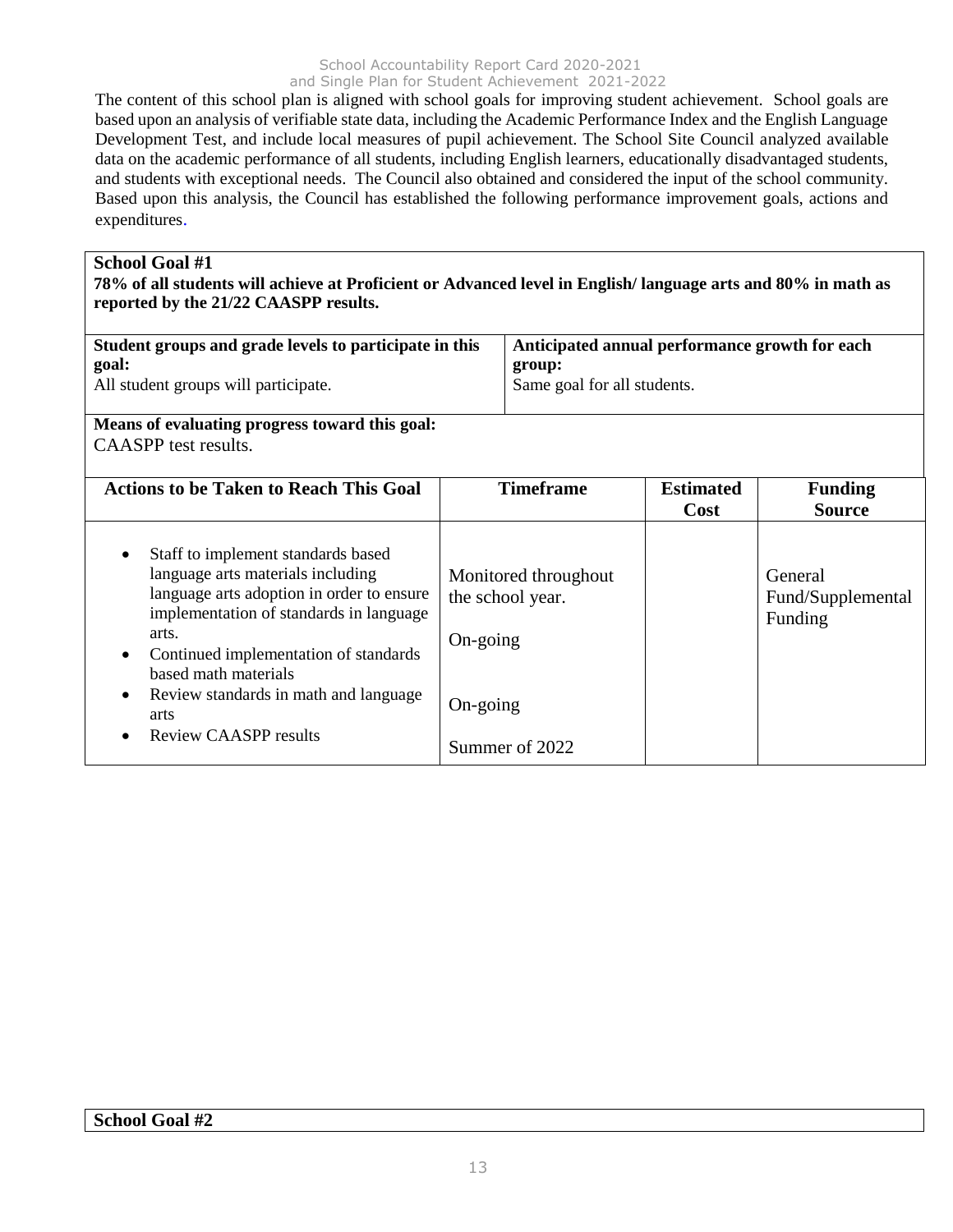The content of this school plan is aligned with school goals for improving student achievement. School goals are based upon an analysis of verifiable state data, including the Academic Performance Index and the English Language Development Test, and include local measures of pupil achievement. The School Site Council analyzed available data on the academic performance of all students, including English learners, educationally disadvantaged students, and students with exceptional needs. The Council also obtained and considered the input of the school community. Based upon this analysis, the Council has established the following performance improvement goals, actions and expenditures.

#### **School Goal #1**

**78% of all students will achieve at Proficient or Advanced level in English/ language arts and 80% in math as reported by the 21/22 CAASPP results.**

| Student groups and grade levels to participate in this<br>goal:<br>All student groups will participate.<br>Means of evaluating progress toward this goal:                                                                                                                                                                                                 | Anticipated annual performance growth for each<br>group:<br>Same goal for all students. |                                                            |                                 |                                         |
|-----------------------------------------------------------------------------------------------------------------------------------------------------------------------------------------------------------------------------------------------------------------------------------------------------------------------------------------------------------|-----------------------------------------------------------------------------------------|------------------------------------------------------------|---------------------------------|-----------------------------------------|
| CAASPP test results.                                                                                                                                                                                                                                                                                                                                      |                                                                                         |                                                            |                                 |                                         |
| <b>Actions to be Taken to Reach This Goal</b>                                                                                                                                                                                                                                                                                                             |                                                                                         | <b>Timeframe</b>                                           | <b>Estimated</b><br><b>Cost</b> | <b>Funding</b><br><b>Source</b>         |
| Staff to implement standards based<br>٠<br>language arts materials including<br>language arts adoption in order to ensure<br>implementation of standards in language<br>arts.<br>Continued implementation of standards<br>$\bullet$<br>based math materials<br>Review standards in math and language<br>$\bullet$<br>arts<br><b>Review CAASPP results</b> | On-going<br>On-going                                                                    | Monitored throughout<br>the school year.<br>Summer of 2022 |                                 | General<br>Fund/Supplemental<br>Funding |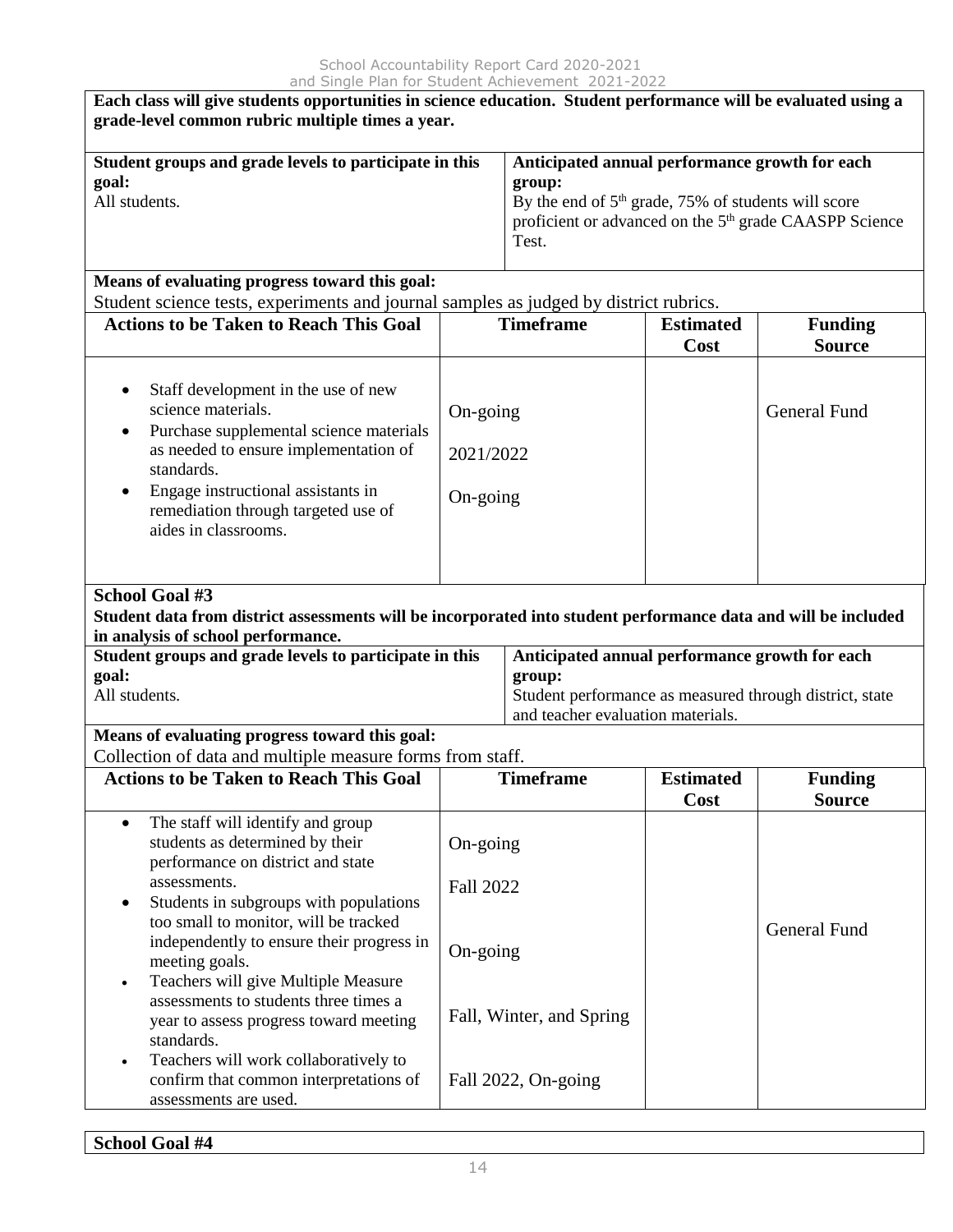| Each class will give students opportunities in science education. Student performance will be evaluated using a<br>grade-level common rubric multiple times a year.                                                                                                                             |                                                                                                                                                                                                  |                                                                                                                                                          |                          |                                 |  |  |  |  |
|-------------------------------------------------------------------------------------------------------------------------------------------------------------------------------------------------------------------------------------------------------------------------------------------------|--------------------------------------------------------------------------------------------------------------------------------------------------------------------------------------------------|----------------------------------------------------------------------------------------------------------------------------------------------------------|--------------------------|---------------------------------|--|--|--|--|
| Student groups and grade levels to participate in this<br>goal:<br>All students.                                                                                                                                                                                                                | Anticipated annual performance growth for each<br>group:<br>By the end of $5th$ grade, 75% of students will score<br>proficient or advanced on the 5 <sup>th</sup> grade CAASPP Science<br>Test. |                                                                                                                                                          |                          |                                 |  |  |  |  |
| Means of evaluating progress toward this goal:<br>Student science tests, experiments and journal samples as judged by district rubrics.                                                                                                                                                         |                                                                                                                                                                                                  |                                                                                                                                                          |                          |                                 |  |  |  |  |
| <b>Actions to be Taken to Reach This Goal</b>                                                                                                                                                                                                                                                   |                                                                                                                                                                                                  | <b>Timeframe</b>                                                                                                                                         | <b>Estimated</b><br>Cost | <b>Funding</b><br><b>Source</b> |  |  |  |  |
| Staff development in the use of new<br>$\bullet$<br>science materials.<br>Purchase supplemental science materials<br>٠<br>as needed to ensure implementation of<br>standards.<br>Engage instructional assistants in<br>$\bullet$<br>remediation through targeted use of<br>aides in classrooms. | On-going<br>2021/2022<br>On-going                                                                                                                                                                |                                                                                                                                                          |                          | <b>General Fund</b>             |  |  |  |  |
| <b>School Goal #3</b><br>Student data from district assessments will be incorporated into student performance data and will be included<br>in analysis of school performance.                                                                                                                   |                                                                                                                                                                                                  |                                                                                                                                                          |                          |                                 |  |  |  |  |
| Student groups and grade levels to participate in this<br>goal:<br>All students.                                                                                                                                                                                                                |                                                                                                                                                                                                  | Anticipated annual performance growth for each<br>group:<br>Student performance as measured through district, state<br>and teacher evaluation materials. |                          |                                 |  |  |  |  |
| Means of evaluating progress toward this goal:<br>Collection of data and multiple measure forms from staff.                                                                                                                                                                                     |                                                                                                                                                                                                  |                                                                                                                                                          |                          |                                 |  |  |  |  |
| <b>Actions to be Taken to Reach This Goal</b>                                                                                                                                                                                                                                                   |                                                                                                                                                                                                  | <b>Timeframe</b>                                                                                                                                         | <b>Estimated</b><br>Cost | <b>Funding</b><br><b>Source</b> |  |  |  |  |
| The staff will identify and group<br>$\bullet$<br>students as determined by their<br>performance on district and state<br>assessments.<br>Students in subgroups with populations<br>$\bullet$<br>too small to monitor, will be tracked<br>independently to ensure their progress in             | On-going<br><b>Fall 2022</b>                                                                                                                                                                     |                                                                                                                                                          |                          | <b>General Fund</b>             |  |  |  |  |
| meeting goals.<br>Teachers will give Multiple Measure<br>$\bullet$<br>assessments to students three times a<br>year to assess progress toward meeting<br>standards.                                                                                                                             | On-going<br>Fall, Winter, and Spring                                                                                                                                                             |                                                                                                                                                          |                          |                                 |  |  |  |  |
| Teachers will work collaboratively to<br>$\bullet$<br>confirm that common interpretations of<br>assessments are used.                                                                                                                                                                           |                                                                                                                                                                                                  | Fall 2022, On-going                                                                                                                                      |                          |                                 |  |  |  |  |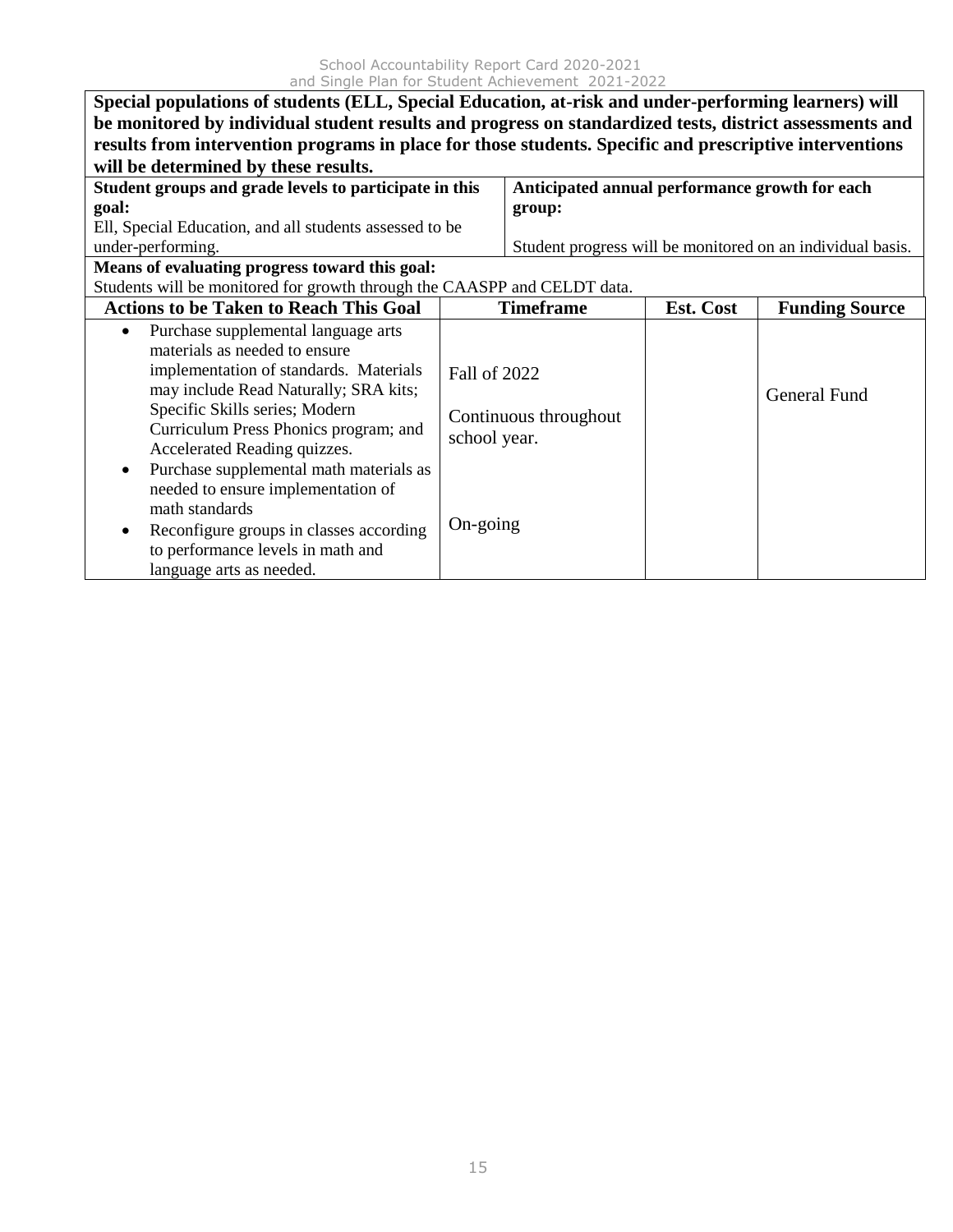| Special populations of students (ELL, Special Education, at-risk and under-performing learners) will    |                                                                                                         |                                                |           |                                                            |  |  |  |  |
|---------------------------------------------------------------------------------------------------------|---------------------------------------------------------------------------------------------------------|------------------------------------------------|-----------|------------------------------------------------------------|--|--|--|--|
|                                                                                                         | be monitored by individual student results and progress on standardized tests, district assessments and |                                                |           |                                                            |  |  |  |  |
| results from intervention programs in place for those students. Specific and prescriptive interventions |                                                                                                         |                                                |           |                                                            |  |  |  |  |
| will be determined by these results.                                                                    |                                                                                                         |                                                |           |                                                            |  |  |  |  |
| Student groups and grade levels to participate in this                                                  |                                                                                                         | Anticipated annual performance growth for each |           |                                                            |  |  |  |  |
| goal:                                                                                                   |                                                                                                         | group:                                         |           |                                                            |  |  |  |  |
| Ell, Special Education, and all students assessed to be                                                 |                                                                                                         |                                                |           |                                                            |  |  |  |  |
| under-performing.                                                                                       |                                                                                                         |                                                |           | Student progress will be monitored on an individual basis. |  |  |  |  |
| Means of evaluating progress toward this goal:                                                          |                                                                                                         |                                                |           |                                                            |  |  |  |  |
| Students will be monitored for growth through the CAASPP and CELDT data.                                |                                                                                                         |                                                |           |                                                            |  |  |  |  |
| <b>Actions to be Taken to Reach This Goal</b>                                                           |                                                                                                         | <b>Timeframe</b>                               | Est. Cost | <b>Funding Source</b>                                      |  |  |  |  |
| Purchase supplemental language arts<br>$\bullet$                                                        |                                                                                                         |                                                |           |                                                            |  |  |  |  |
| materials as needed to ensure                                                                           |                                                                                                         |                                                |           |                                                            |  |  |  |  |
| implementation of standards. Materials                                                                  | Fall of 2022                                                                                            |                                                |           |                                                            |  |  |  |  |
| may include Read Naturally; SRA kits;                                                                   |                                                                                                         |                                                |           | <b>General Fund</b>                                        |  |  |  |  |
| Specific Skills series; Modern                                                                          |                                                                                                         | Continuous throughout                          |           |                                                            |  |  |  |  |
| Curriculum Press Phonics program; and                                                                   | school year.                                                                                            |                                                |           |                                                            |  |  |  |  |
| Accelerated Reading quizzes.                                                                            |                                                                                                         |                                                |           |                                                            |  |  |  |  |
| Purchase supplemental math materials as<br>$\bullet$                                                    |                                                                                                         |                                                |           |                                                            |  |  |  |  |
| needed to ensure implementation of                                                                      |                                                                                                         |                                                |           |                                                            |  |  |  |  |
| math standards                                                                                          |                                                                                                         |                                                |           |                                                            |  |  |  |  |
| Reconfigure groups in classes according<br>٠                                                            | On-going                                                                                                |                                                |           |                                                            |  |  |  |  |
| to performance levels in math and                                                                       |                                                                                                         |                                                |           |                                                            |  |  |  |  |
| language arts as needed.                                                                                |                                                                                                         |                                                |           |                                                            |  |  |  |  |